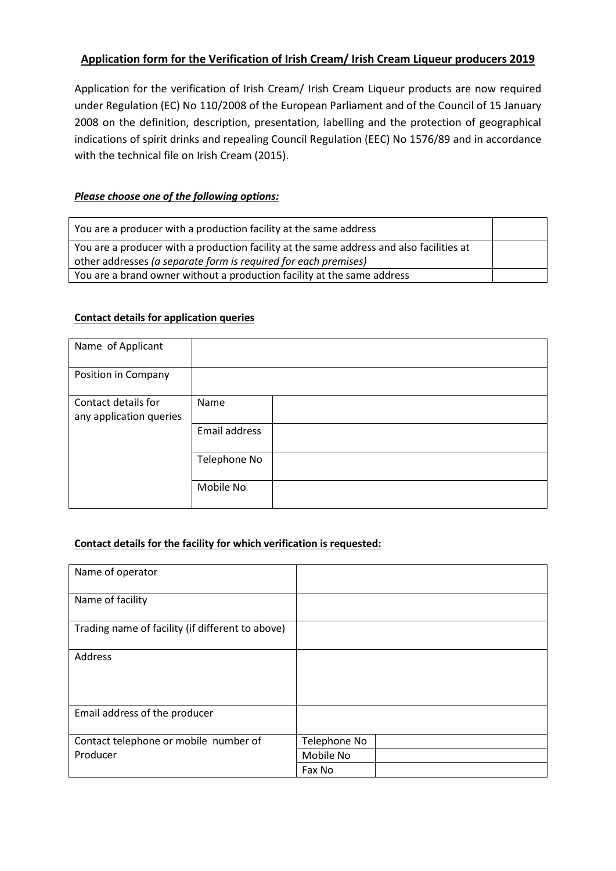# **Application form for the Verification of Irish Cream/ Irish Cream Liqueur producers 2019**

Application for the verification of Irish Cream/ Irish Cream Liqueur products are now required under Regulation (EC) No 110/2008 of the European Parliament and of the Council of 15 January 2008 on the definition, description, presentation, labelling and the protection of geographical indications of spirit drinks and repealing Council Regulation (EEC) No 1576/89 and in accordance with the technical file on Irish Cream (2015).

## *Please choose one of the following options:*

| You are a producer with a production facility at the same address                        |  |
|------------------------------------------------------------------------------------------|--|
| You are a producer with a production facility at the same address and also facilities at |  |
| other addresses (a separate form is required for each premises)                          |  |
| You are a brand owner without a production facility at the same address                  |  |

## **Contact details for application queries**

| Name of Applicant                              |               |
|------------------------------------------------|---------------|
| Position in Company                            |               |
| Contact details for<br>any application queries | Name          |
|                                                | Email address |
|                                                | Telephone No  |
|                                                | Mobile No     |

## **Contact details for the facility for which verification is requested:**

| Name of operator                                 |              |
|--------------------------------------------------|--------------|
| Name of facility                                 |              |
| Trading name of facility (if different to above) |              |
| Address                                          |              |
| Email address of the producer                    |              |
| Contact telephone or mobile number of            | Telephone No |
| Producer                                         | Mobile No    |
|                                                  | Fax No       |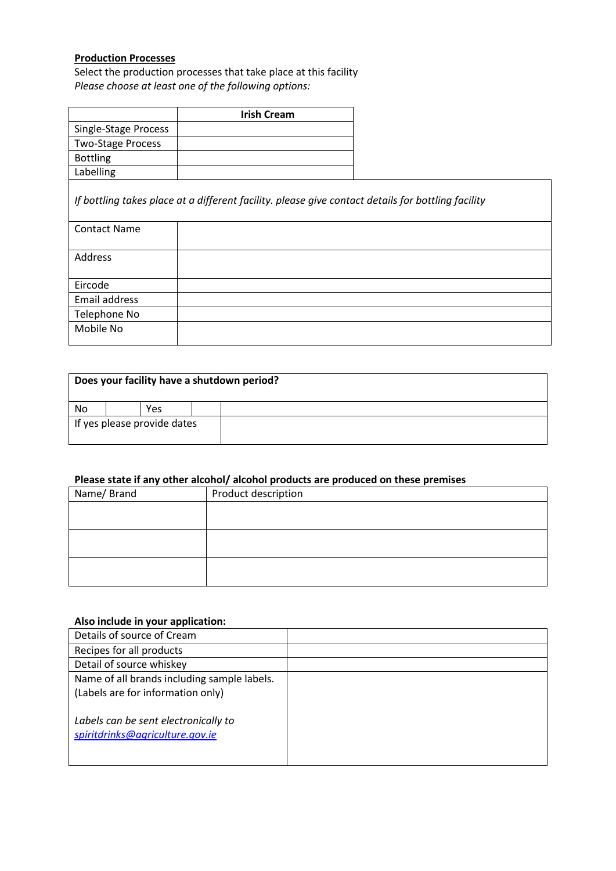## **Production Processes**

Select the production processes that take place at this facility *Please choose at least one of the following options:*

|                          | <b>Irish Cream</b>                                                                                 |  |
|--------------------------|----------------------------------------------------------------------------------------------------|--|
| Single-Stage Process     |                                                                                                    |  |
| <b>Two-Stage Process</b> |                                                                                                    |  |
| <b>Bottling</b>          |                                                                                                    |  |
| Labelling                |                                                                                                    |  |
|                          | If bottling takes place at a different facility. please give contact details for bottling facility |  |
| <b>Contact Name</b>      |                                                                                                    |  |
| Address                  |                                                                                                    |  |
| Eircode                  |                                                                                                    |  |
| Email address            |                                                                                                    |  |
| Telephone No             |                                                                                                    |  |
| Mobile No                |                                                                                                    |  |

| Does your facility have a shutdown period? |  |            |  |  |
|--------------------------------------------|--|------------|--|--|
| No                                         |  | <b>Yes</b> |  |  |
| If yes please provide dates                |  |            |  |  |

# **Please state if any other alcohol/ alcohol products are produced on these premises**

| Name/Brand | Product description |  |
|------------|---------------------|--|
|            |                     |  |
|            |                     |  |
|            |                     |  |
|            |                     |  |
|            |                     |  |
|            |                     |  |

# **Also include in your application:**

| Details of source of Cream                  |  |
|---------------------------------------------|--|
| Recipes for all products                    |  |
| Detail of source whiskey                    |  |
| Name of all brands including sample labels. |  |
| (Labels are for information only)           |  |
|                                             |  |
| Labels can be sent electronically to        |  |
| spiritdrinks@agriculture.gov.ie             |  |
|                                             |  |
|                                             |  |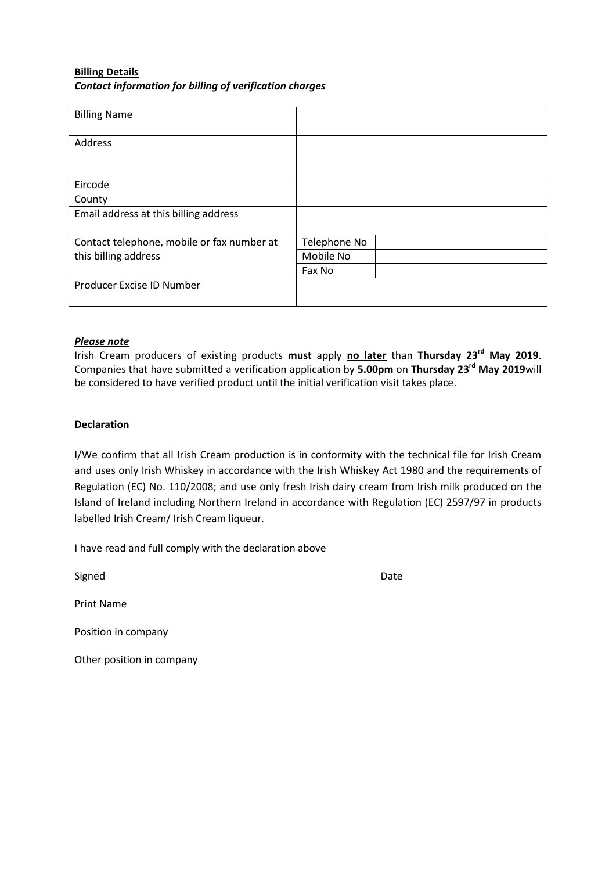## **Billing Details** *Contact information for billing of verification charges*

| <b>Billing Name</b>                        |              |
|--------------------------------------------|--------------|
| Address                                    |              |
|                                            |              |
| Eircode                                    |              |
| County                                     |              |
| Email address at this billing address      |              |
| Contact telephone, mobile or fax number at | Telephone No |
| this billing address                       | Mobile No    |
|                                            | Fax No       |
| Producer Excise ID Number                  |              |

#### *Please note*

Irish Cream producers of existing products **must** apply **no later** than **Thursday 23rd May 2019**. Companies that have submitted a verification application by **5.00pm** on **Thursday 23rd May 2019**will be considered to have verified product until the initial verification visit takes place.

### **Declaration**

I/We confirm that all Irish Cream production is in conformity with the technical file for Irish Cream and uses only Irish Whiskey in accordance with the Irish Whiskey Act 1980 and the requirements of Regulation (EC) No. 110/2008; and use only fresh Irish dairy cream from Irish milk produced on the Island of Ireland including Northern Ireland in accordance with Regulation (EC) 2597/97 in products labelled Irish Cream/ Irish Cream liqueur.

I have read and full comply with the declaration above

Signed **Date** 

Print Name

Position in company

Other position in company